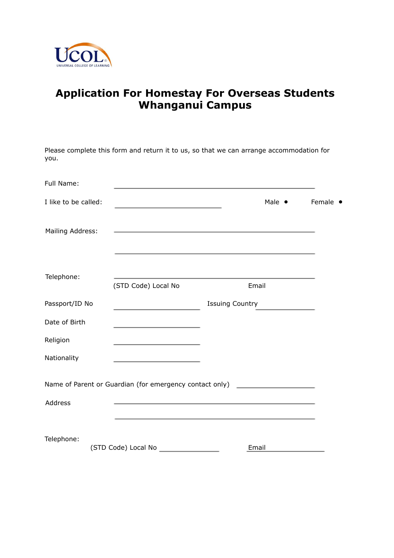

## **Application For Homestay For Overseas Students Whanganui Campus**

| you.                 | Please complete this form and return it to us, so that we can arrange accommodation for |                                                                                                                  |                |          |
|----------------------|-----------------------------------------------------------------------------------------|------------------------------------------------------------------------------------------------------------------|----------------|----------|
| Full Name:           |                                                                                         |                                                                                                                  |                |          |
| I like to be called: | the control of the control of the control of the control of the control of              |                                                                                                                  | Male $\bullet$ | Female • |
| Mailing Address:     |                                                                                         | <u> 1980 - Johann Barn, amerikansk politiker (d. 1980)</u>                                                       |                |          |
| Telephone:           | (STD Code) Local No                                                                     | Email                                                                                                            |                |          |
| Passport/ID No       | the control of the control of the control of                                            | <b>Issuing Country</b>                                                                                           |                |          |
| Date of Birth        | the control of the control of the control of                                            |                                                                                                                  |                |          |
| Religion             | the control of the control of the control of the control of                             |                                                                                                                  |                |          |
| Nationality          |                                                                                         |                                                                                                                  |                |          |
|                      | Name of Parent or Guardian (for emergency contact only)                                 |                                                                                                                  |                |          |
| Address              |                                                                                         | and the control of the control of the control of the control of the control of the control of the control of the |                |          |
| Telephone:           |                                                                                         |                                                                                                                  |                |          |
|                      | (STD Code) Local No                                                                     | Email                                                                                                            |                |          |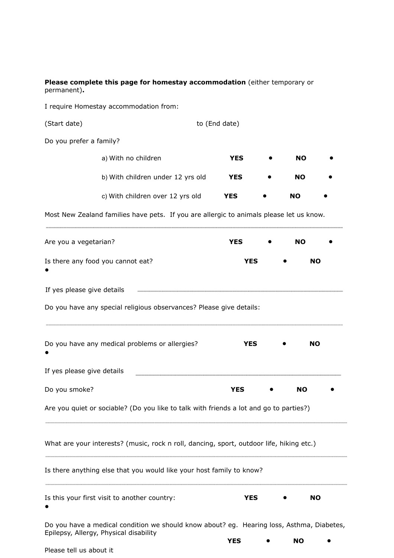**Please complete this page for homestay accommodation** (either temporary or permanent)**.**

I require Homestay accommodation from:

(Start date) to (End date)

Do you prefer a family?

| a) With no children               | YES        | NO  |  |
|-----------------------------------|------------|-----|--|
| b) With children under 12 yrs old | <b>YES</b> | NO. |  |
| c) With children over 12 yrs old  | YES        | NO  |  |

Most New Zealand families have pets. If you are allergic to animals please let us know. ........

| Are you a vegetarian?                                                                                                               | <b>YES</b> | NO.       |  |
|-------------------------------------------------------------------------------------------------------------------------------------|------------|-----------|--|
| Is there any food you cannot eat?                                                                                                   | <b>YES</b> | <b>NO</b> |  |
| If yes please give details                                                                                                          |            |           |  |
| Do you have any special religious observances? Please give details:                                                                 |            |           |  |
| Do you have any medical problems or allergies?                                                                                      | <b>YES</b> | <b>NO</b> |  |
| If yes please give details                                                                                                          |            |           |  |
| Do you smoke?                                                                                                                       | <b>YES</b> | <b>NO</b> |  |
| Are you quiet or sociable? (Do you like to talk with friends a lot and go to parties?)                                              |            |           |  |
| What are your interests? (music, rock n roll, dancing, sport, outdoor life, hiking etc.)                                            |            |           |  |
| Is there anything else that you would like your host family to know?                                                                |            |           |  |
| Is this your first visit to another country:                                                                                        | <b>YES</b> | <b>NO</b> |  |
| Do you have a medical condition we should know about? eg. Hearing loss, Asthma, Diabetes,<br>Epilepsy, Allergy, Physical disability | YES        | NO        |  |
| Please tell us about it                                                                                                             |            |           |  |